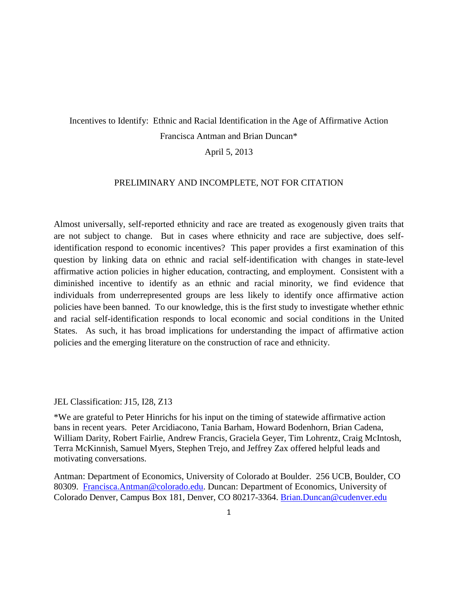# Incentives to Identify: Ethnic and Racial Identification in the Age of Affirmative Action Francisca Antman and Brian Duncan\*

## April 5, 2013

#### PRELIMINARY AND INCOMPLETE, NOT FOR CITATION

Almost universally, self-reported ethnicity and race are treated as exogenously given traits that are not subject to change. But in cases where ethnicity and race are subjective, does selfidentification respond to economic incentives? This paper provides a first examination of this question by linking data on ethnic and racial self-identification with changes in state-level affirmative action policies in higher education, contracting, and employment. Consistent with a diminished incentive to identify as an ethnic and racial minority, we find evidence that individuals from underrepresented groups are less likely to identify once affirmative action policies have been banned. To our knowledge, this is the first study to investigate whether ethnic and racial self-identification responds to local economic and social conditions in the United States. As such, it has broad implications for understanding the impact of affirmative action policies and the emerging literature on the construction of race and ethnicity.

#### JEL Classification: J15, I28, Z13

\*We are grateful to Peter Hinrichs for his input on the timing of statewide affirmative action bans in recent years. Peter Arcidiacono, Tania Barham, Howard Bodenhorn, Brian Cadena, William Darity, Robert Fairlie, Andrew Francis, Graciela Geyer, Tim Lohrentz, Craig McIntosh, Terra McKinnish, Samuel Myers, Stephen Trejo, and Jeffrey Zax offered helpful leads and motivating conversations.

Antman: Department of Economics, University of Colorado at Boulder. 256 UCB, Boulder, CO 80309. [Francisca.Antman@colorado.edu.](mailto:Francisca.Antman@colorado.edu) Duncan: Department of Economics, University of Colorado Denver, Campus Box 181, Denver, CO 80217-3364. [Brian.Duncan@cudenver.edu](mailto:Brian.Duncan@cudenver.edu)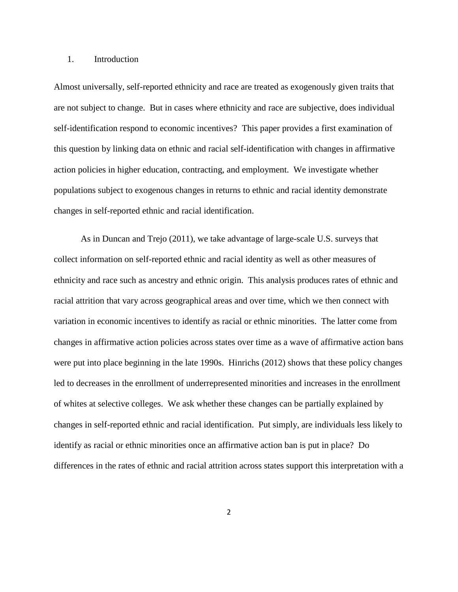#### 1. Introduction

Almost universally, self-reported ethnicity and race are treated as exogenously given traits that are not subject to change. But in cases where ethnicity and race are subjective, does individual self-identification respond to economic incentives? This paper provides a first examination of this question by linking data on ethnic and racial self-identification with changes in affirmative action policies in higher education, contracting, and employment. We investigate whether populations subject to exogenous changes in returns to ethnic and racial identity demonstrate changes in self-reported ethnic and racial identification.

As in Duncan and Trejo (2011), we take advantage of large-scale U.S. surveys that collect information on self-reported ethnic and racial identity as well as other measures of ethnicity and race such as ancestry and ethnic origin. This analysis produces rates of ethnic and racial attrition that vary across geographical areas and over time, which we then connect with variation in economic incentives to identify as racial or ethnic minorities. The latter come from changes in affirmative action policies across states over time as a wave of affirmative action bans were put into place beginning in the late 1990s. Hinrichs (2012) shows that these policy changes led to decreases in the enrollment of underrepresented minorities and increases in the enrollment of whites at selective colleges. We ask whether these changes can be partially explained by changes in self-reported ethnic and racial identification. Put simply, are individuals less likely to identify as racial or ethnic minorities once an affirmative action ban is put in place? Do differences in the rates of ethnic and racial attrition across states support this interpretation with a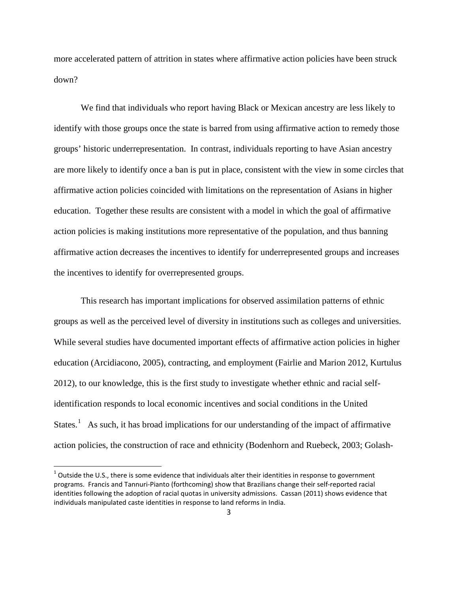more accelerated pattern of attrition in states where affirmative action policies have been struck down?

We find that individuals who report having Black or Mexican ancestry are less likely to identify with those groups once the state is barred from using affirmative action to remedy those groups' historic underrepresentation. In contrast, individuals reporting to have Asian ancestry are more likely to identify once a ban is put in place, consistent with the view in some circles that affirmative action policies coincided with limitations on the representation of Asians in higher education. Together these results are consistent with a model in which the goal of affirmative action policies is making institutions more representative of the population, and thus banning affirmative action decreases the incentives to identify for underrepresented groups and increases the incentives to identify for overrepresented groups.

This research has important implications for observed assimilation patterns of ethnic groups as well as the perceived level of diversity in institutions such as colleges and universities. While several studies have documented important effects of affirmative action policies in higher education (Arcidiacono, 2005), contracting, and employment (Fairlie and Marion 2012, Kurtulus 2012), to our knowledge, this is the first study to investigate whether ethnic and racial selfidentification responds to local economic incentives and social conditions in the United States.<sup>[1](#page-2-0)</sup> As such, it has broad implications for our understanding of the impact of affirmative action policies, the construction of race and ethnicity (Bodenhorn and Ruebeck, 2003; Golash-

<span id="page-2-0"></span> $1$  Outside the U.S., there is some evidence that individuals alter their identities in response to government programs. Francis and Tannuri-Pianto (forthcoming) show that Brazilians change their self-reported racial identities following the adoption of racial quotas in university admissions. Cassan (2011) shows evidence that individuals manipulated caste identities in response to land reforms in India.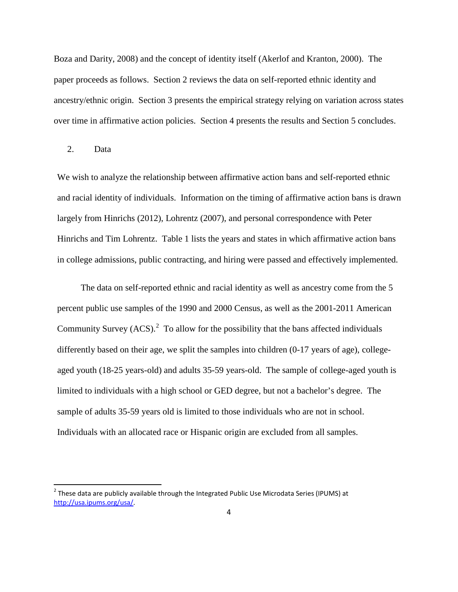Boza and Darity, 2008) and the concept of identity itself (Akerlof and Kranton, 2000). The paper proceeds as follows. Section 2 reviews the data on self-reported ethnic identity and ancestry/ethnic origin. Section 3 presents the empirical strategy relying on variation across states over time in affirmative action policies. Section 4 presents the results and Section 5 concludes.

### 2. Data

We wish to analyze the relationship between affirmative action bans and self-reported ethnic and racial identity of individuals. Information on the timing of affirmative action bans is drawn largely from Hinrichs (2012), Lohrentz (2007), and personal correspondence with Peter Hinrichs and Tim Lohrentz. Table 1 lists the years and states in which affirmative action bans in college admissions, public contracting, and hiring were passed and effectively implemented.

The data on self-reported ethnic and racial identity as well as ancestry come from the 5 percent public use samples of the 1990 and 2000 Census, as well as the 2001-2011 American Community Survey  $(ACS)^2$  $(ACS)^2$  To allow for the possibility that the bans affected individuals differently based on their age, we split the samples into children (0-17 years of age), collegeaged youth (18-25 years-old) and adults 35-59 years-old. The sample of college-aged youth is limited to individuals with a high school or GED degree, but not a bachelor's degree. The sample of adults 35-59 years old is limited to those individuals who are not in school. Individuals with an allocated race or Hispanic origin are excluded from all samples.

<span id="page-3-0"></span> $<sup>2</sup>$  These data are publicly available through the Integrated Public Use Microdata Series (IPUMS) at</sup> [http://usa.ipums.org/usa/.](http://usa.ipums.org/usa/)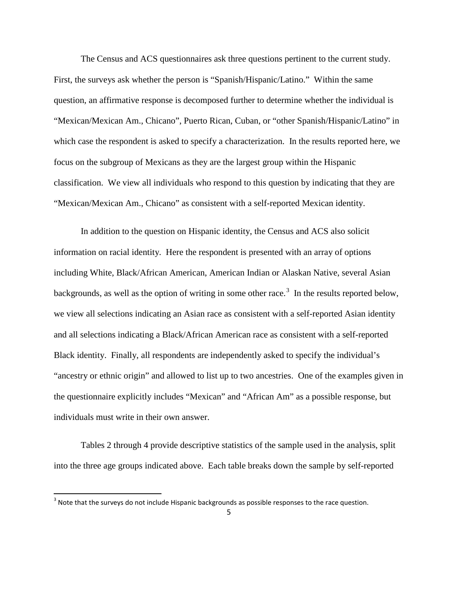The Census and ACS questionnaires ask three questions pertinent to the current study. First, the surveys ask whether the person is "Spanish/Hispanic/Latino." Within the same question, an affirmative response is decomposed further to determine whether the individual is "Mexican/Mexican Am., Chicano", Puerto Rican, Cuban, or "other Spanish/Hispanic/Latino" in which case the respondent is asked to specify a characterization. In the results reported here, we focus on the subgroup of Mexicans as they are the largest group within the Hispanic classification. We view all individuals who respond to this question by indicating that they are "Mexican/Mexican Am., Chicano" as consistent with a self-reported Mexican identity.

In addition to the question on Hispanic identity, the Census and ACS also solicit information on racial identity. Here the respondent is presented with an array of options including White, Black/African American, American Indian or Alaskan Native, several Asian backgrounds, as well as the option of writing in some other race.<sup>[3](#page-4-0)</sup> In the results reported below, we view all selections indicating an Asian race as consistent with a self-reported Asian identity and all selections indicating a Black/African American race as consistent with a self-reported Black identity. Finally, all respondents are independently asked to specify the individual's "ancestry or ethnic origin" and allowed to list up to two ancestries. One of the examples given in the questionnaire explicitly includes "Mexican" and "African Am" as a possible response, but individuals must write in their own answer.

Tables 2 through 4 provide descriptive statistics of the sample used in the analysis, split into the three age groups indicated above. Each table breaks down the sample by self-reported

<span id="page-4-0"></span><sup>&</sup>lt;sup>3</sup> Note that the surveys do not include Hispanic backgrounds as possible responses to the race question.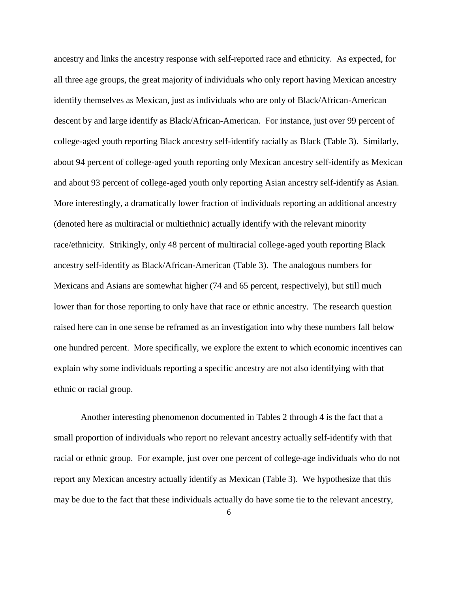ancestry and links the ancestry response with self-reported race and ethnicity. As expected, for all three age groups, the great majority of individuals who only report having Mexican ancestry identify themselves as Mexican, just as individuals who are only of Black/African-American descent by and large identify as Black/African-American. For instance, just over 99 percent of college-aged youth reporting Black ancestry self-identify racially as Black (Table 3). Similarly, about 94 percent of college-aged youth reporting only Mexican ancestry self-identify as Mexican and about 93 percent of college-aged youth only reporting Asian ancestry self-identify as Asian. More interestingly, a dramatically lower fraction of individuals reporting an additional ancestry (denoted here as multiracial or multiethnic) actually identify with the relevant minority race/ethnicity. Strikingly, only 48 percent of multiracial college-aged youth reporting Black ancestry self-identify as Black/African-American (Table 3). The analogous numbers for Mexicans and Asians are somewhat higher (74 and 65 percent, respectively), but still much lower than for those reporting to only have that race or ethnic ancestry. The research question raised here can in one sense be reframed as an investigation into why these numbers fall below one hundred percent. More specifically, we explore the extent to which economic incentives can explain why some individuals reporting a specific ancestry are not also identifying with that ethnic or racial group.

Another interesting phenomenon documented in Tables 2 through 4 is the fact that a small proportion of individuals who report no relevant ancestry actually self-identify with that racial or ethnic group. For example, just over one percent of college-age individuals who do not report any Mexican ancestry actually identify as Mexican (Table 3). We hypothesize that this may be due to the fact that these individuals actually do have some tie to the relevant ancestry,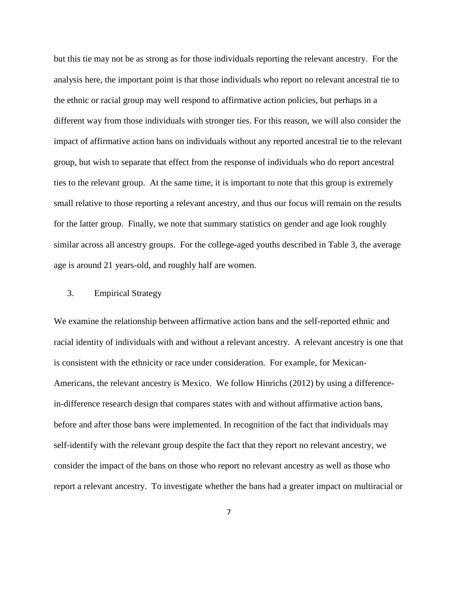but this tie may not be as strong as for those individuals reporting the relevant ancestry. For the analysis here, the important point is that those individuals who report no relevant ancestral tie to the ethnic or racial group may well respond to affirmative action policies, but perhaps in a different way from those individuals with stronger ties. For this reason, we will also consider the impact of affirmative action bans on individuals without any reported ancestral tie to the relevant group, but wish to separate that effect from the response of individuals who do report ancestral ties to the relevant group. At the same time, it is important to note that this group is extremely small relative to those reporting a relevant ancestry, and thus our focus will remain on the results for the latter group. Finally, we note that summary statistics on gender and age look roughly similar across all ancestry groups. For the college-aged youths described in Table 3, the average age is around 21 years-old, and roughly half are women.

## 3. Empirical Strategy

We examine the relationship between affirmative action bans and the self-reported ethnic and racial identity of individuals with and without a relevant ancestry. A relevant ancestry is one that is consistent with the ethnicity or race under consideration. For example, for Mexican-Americans, the relevant ancestry is Mexico. We follow Hinrichs (2012) by using a differencein-difference research design that compares states with and without affirmative action bans, before and after those bans were implemented. In recognition of the fact that individuals may self-identify with the relevant group despite the fact that they report no relevant ancestry, we consider the impact of the bans on those who report no relevant ancestry as well as those who report a relevant ancestry. To investigate whether the bans had a greater impact on multiracial or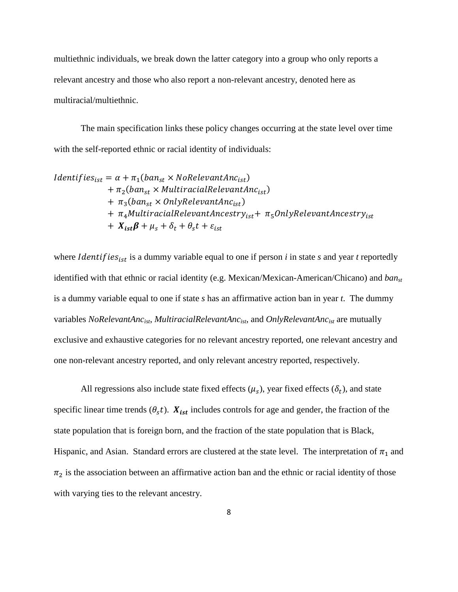multiethnic individuals, we break down the latter category into a group who only reports a relevant ancestry and those who also report a non-relevant ancestry, denoted here as multiracial/multiethnic.

The main specification links these policy changes occurring at the state level over time with the self-reported ethnic or racial identity of individuals:

$$
Identityiesist = \alpha + \pi_1(ban_{st} \times NoRelevantAncist) + \pi_2(ban_{st} \times MultiracialRelevantAncist) + \pi_3(ban_{st} \times OnlyRelevantAncist) + \pi_4 MultiracialRelevantAncestryist + \pi_5OnlyRelevantAncestryist + Xistβ + \mu_s + \delta_t + \theta_s t + \varepsilon_{ist}
$$

where *Identifies*<sub>ist</sub> is a dummy variable equal to one if person  $i$  in state  $s$  and year  $t$  reportedly identified with that ethnic or racial identity (e.g. Mexican/Mexican-American/Chicano) and *banst* is a dummy variable equal to one if state *s* has an affirmative action ban in year *t*. The dummy variables *NoRelevantAncist*, *MultiracialRelevantAncist*, and *OnlyRelevantAncist* are mutually exclusive and exhaustive categories for no relevant ancestry reported, one relevant ancestry and one non-relevant ancestry reported, and only relevant ancestry reported, respectively.

All regressions also include state fixed effects  $(\mu_s)$ , year fixed effects  $(\delta_t)$ , and state specific linear time trends  $(\theta_s t)$ .  $X_{ist}$  includes controls for age and gender, the fraction of the state population that is foreign born, and the fraction of the state population that is Black, Hispanic, and Asian. Standard errors are clustered at the state level. The interpretation of  $\pi_1$  and  $\pi_2$  is the association between an affirmative action ban and the ethnic or racial identity of those with varying ties to the relevant ancestry.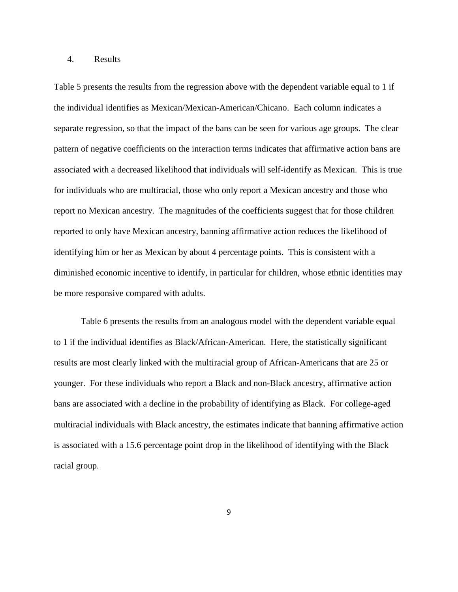#### 4. Results

Table 5 presents the results from the regression above with the dependent variable equal to 1 if the individual identifies as Mexican/Mexican-American/Chicano. Each column indicates a separate regression, so that the impact of the bans can be seen for various age groups. The clear pattern of negative coefficients on the interaction terms indicates that affirmative action bans are associated with a decreased likelihood that individuals will self-identify as Mexican. This is true for individuals who are multiracial, those who only report a Mexican ancestry and those who report no Mexican ancestry. The magnitudes of the coefficients suggest that for those children reported to only have Mexican ancestry, banning affirmative action reduces the likelihood of identifying him or her as Mexican by about 4 percentage points. This is consistent with a diminished economic incentive to identify, in particular for children, whose ethnic identities may be more responsive compared with adults.

Table 6 presents the results from an analogous model with the dependent variable equal to 1 if the individual identifies as Black/African-American. Here, the statistically significant results are most clearly linked with the multiracial group of African-Americans that are 25 or younger. For these individuals who report a Black and non-Black ancestry, affirmative action bans are associated with a decline in the probability of identifying as Black. For college-aged multiracial individuals with Black ancestry, the estimates indicate that banning affirmative action is associated with a 15.6 percentage point drop in the likelihood of identifying with the Black racial group.

9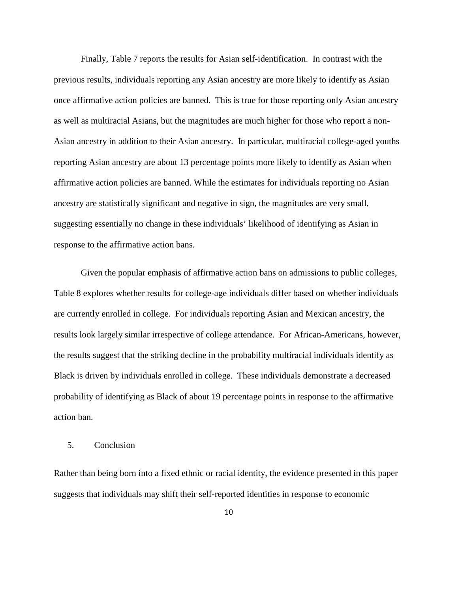Finally, Table 7 reports the results for Asian self-identification. In contrast with the previous results, individuals reporting any Asian ancestry are more likely to identify as Asian once affirmative action policies are banned. This is true for those reporting only Asian ancestry as well as multiracial Asians, but the magnitudes are much higher for those who report a non-Asian ancestry in addition to their Asian ancestry. In particular, multiracial college-aged youths reporting Asian ancestry are about 13 percentage points more likely to identify as Asian when affirmative action policies are banned. While the estimates for individuals reporting no Asian ancestry are statistically significant and negative in sign, the magnitudes are very small, suggesting essentially no change in these individuals' likelihood of identifying as Asian in response to the affirmative action bans.

Given the popular emphasis of affirmative action bans on admissions to public colleges, Table 8 explores whether results for college-age individuals differ based on whether individuals are currently enrolled in college. For individuals reporting Asian and Mexican ancestry, the results look largely similar irrespective of college attendance. For African-Americans, however, the results suggest that the striking decline in the probability multiracial individuals identify as Black is driven by individuals enrolled in college. These individuals demonstrate a decreased probability of identifying as Black of about 19 percentage points in response to the affirmative action ban.

# 5. Conclusion

Rather than being born into a fixed ethnic or racial identity, the evidence presented in this paper suggests that individuals may shift their self-reported identities in response to economic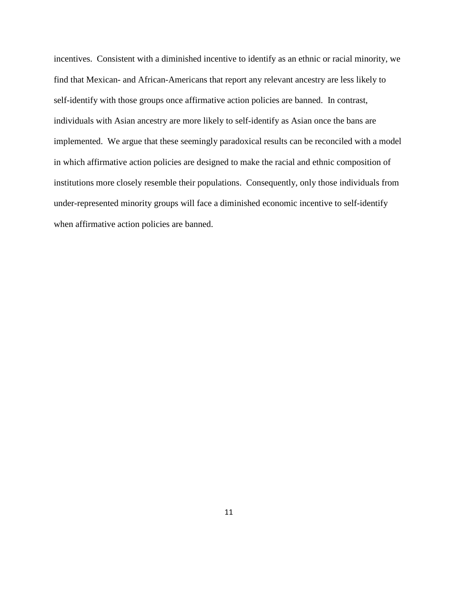incentives. Consistent with a diminished incentive to identify as an ethnic or racial minority, we find that Mexican- and African-Americans that report any relevant ancestry are less likely to self-identify with those groups once affirmative action policies are banned. In contrast, individuals with Asian ancestry are more likely to self-identify as Asian once the bans are implemented. We argue that these seemingly paradoxical results can be reconciled with a model in which affirmative action policies are designed to make the racial and ethnic composition of institutions more closely resemble their populations. Consequently, only those individuals from under-represented minority groups will face a diminished economic incentive to self-identify when affirmative action policies are banned.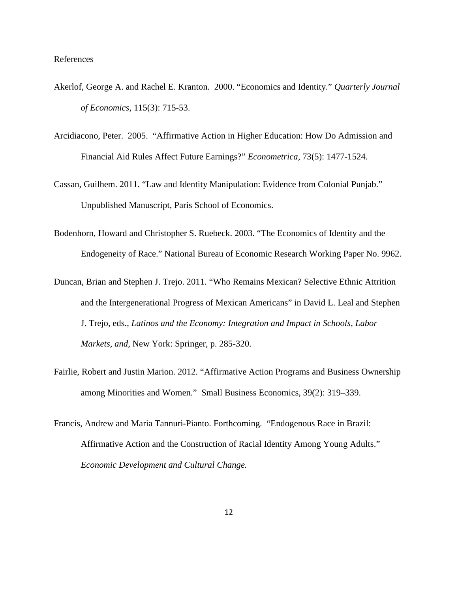#### References

- Akerlof, George A. and Rachel E. Kranton. 2000. "Economics and Identity." *Quarterly Journal of Economics*, 115(3): 715-53.
- Arcidiacono, Peter. 2005. "Affirmative Action in Higher Education: How Do Admission and Financial Aid Rules Affect Future Earnings?" *Econometrica,* 73(5): 1477-1524.
- Cassan, Guilhem. 2011. "Law and Identity Manipulation: Evidence from Colonial Punjab." Unpublished Manuscript, Paris School of Economics.
- Bodenhorn, Howard and Christopher S. Ruebeck. 2003. "The Economics of Identity and the Endogeneity of Race." National Bureau of Economic Research Working Paper No. 9962.
- Duncan, Brian and Stephen J. Trejo. 2011. "Who Remains Mexican? Selective Ethnic Attrition and the Intergenerational Progress of Mexican Americans" in David L. Leal and Stephen J. Trejo, eds., *Latinos and the Economy: Integration and Impact in Schools, Labor Markets, and*, New York: Springer, p. 285-320.
- Fairlie, Robert and Justin Marion. 2012. "Affirmative Action Programs and Business Ownership among Minorities and Women." Small Business Economics, 39(2): 319–339.
- Francis, Andrew and Maria Tannuri-Pianto. Forthcoming. "Endogenous Race in Brazil: Affirmative Action and the Construction of Racial Identity Among Young Adults." *Economic Development and Cultural Change.*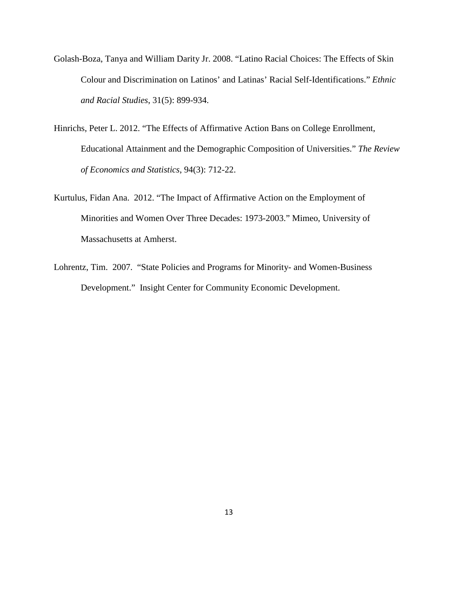- Golash-Boza, Tanya and William Darity Jr. 2008. "Latino Racial Choices: The Effects of Skin Colour and Discrimination on Latinos' and Latinas' Racial Self-Identifications." *Ethnic and Racial Studies*, 31(5): 899-934.
- Hinrichs, Peter L. 2012. "The Effects of Affirmative Action Bans on College Enrollment, Educational Attainment and the Demographic Composition of Universities." *The Review of Economics and Statistics*, 94(3): 712-22.
- Kurtulus, Fidan Ana. 2012. "The Impact of Affirmative Action on the Employment of Minorities and Women Over Three Decades: 1973-2003." Mimeo, University of Massachusetts at Amherst.
- Lohrentz, Tim. 2007. "State Policies and Programs for Minority- and Women-Business Development." Insight Center for Community Economic Development.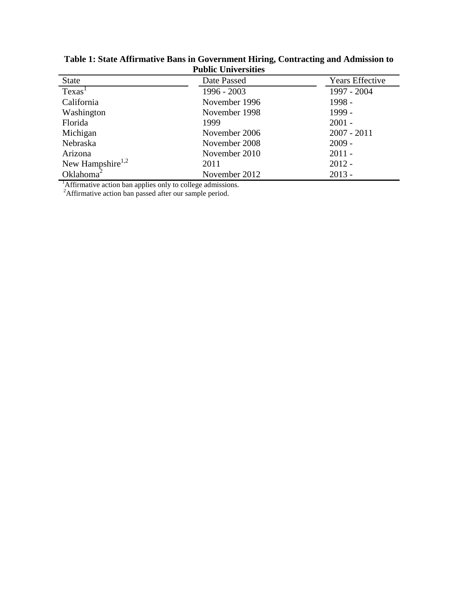| <b>State</b>                 | Date Passed   | <b>Years Effective</b> |  |  |  |  |  |  |  |
|------------------------------|---------------|------------------------|--|--|--|--|--|--|--|
| Texas <sup>1</sup>           | 1996 - 2003   | 1997 - 2004            |  |  |  |  |  |  |  |
| California                   | November 1996 | 1998 -                 |  |  |  |  |  |  |  |
| Washington                   | November 1998 | 1999 -                 |  |  |  |  |  |  |  |
| Florida                      | 1999          | $2001 -$               |  |  |  |  |  |  |  |
| Michigan                     | November 2006 | $2007 - 2011$          |  |  |  |  |  |  |  |
| Nebraska                     | November 2008 | $2009 -$               |  |  |  |  |  |  |  |
| Arizona                      | November 2010 | $2011 -$               |  |  |  |  |  |  |  |
| New Hampshire <sup>1,2</sup> | 2011          | $2012 -$               |  |  |  |  |  |  |  |
| Oklahoma <sup>2</sup>        | November 2012 | $2013 -$               |  |  |  |  |  |  |  |

**Table 1: State Affirmative Bans in Government Hiring, Contracting and Admission to Public Universities**

<sup>1</sup>Affirmative action ban applies only to college admissions.<sup>2</sup>Affirmative action ban passed after our sample period.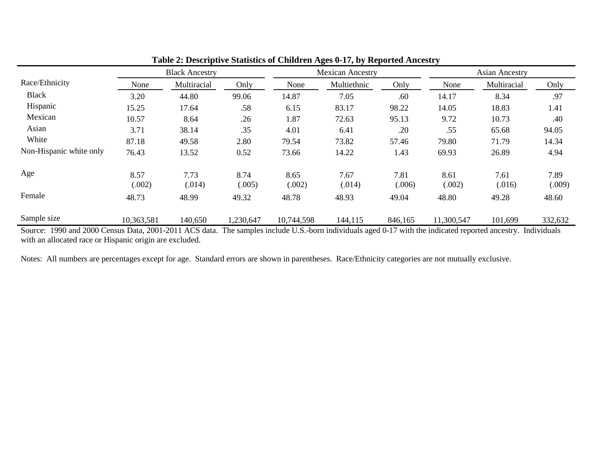|                |                |                |                       |                |                |                         | <b>Asian Ancestry</b> |                                                                                                                                                                     |
|----------------|----------------|----------------|-----------------------|----------------|----------------|-------------------------|-----------------------|---------------------------------------------------------------------------------------------------------------------------------------------------------------------|
| None           | Multiracial    | Only           | None                  | Multiethnic    | Only           | None                    | Multiracial           | Only                                                                                                                                                                |
| 3.20           | 44.80          | 99.06          | 14.87                 | 7.05           | .60            | 14.17                   | 8.34                  | .97                                                                                                                                                                 |
| 15.25          | 17.64          | .58            | 6.15                  | 83.17          | 98.22          | 14.05                   | 18.83                 | 1.41                                                                                                                                                                |
| 10.57          | 8.64           | .26            | 1.87                  | 72.63          | 95.13          | 9.72                    | 10.73                 | .40                                                                                                                                                                 |
| 3.71           | 38.14          | .35            | 4.01                  | 6.41           | .20            | .55                     | 65.68                 | 94.05                                                                                                                                                               |
| 87.18          | 49.58          | 2.80           | 79.54                 | 73.82          | 57.46          | 79.80                   | 71.79                 | 14.34                                                                                                                                                               |
| 76.43          | 13.52          | 0.52           | 73.66                 | 14.22          | 1.43           | 69.93                   | 26.89                 | 4.94                                                                                                                                                                |
| 8.57<br>(.002) | 7.73<br>(.014) | 8.74<br>(.005) | 8.65<br>(.002)        | 7.67<br>(.014) | 7.81<br>(.006) | 8.61<br>(.002)          | 7.61<br>(.016)        | 7.89<br>(.009)                                                                                                                                                      |
| 48.73          | 48.99          | 49.32          | 48.78                 | 48.93          | 49.04          | 48.80                   | 49.28                 | 48.60                                                                                                                                                               |
| 10,363,581     | 140,650        | 1,230,647      | 10,744,598            | 144,115        | 846,165        | 11,300,547              | 101,699               | 332,632                                                                                                                                                             |
|                |                |                | <b>Black Ancestry</b> |                |                | <b>Mexican Ancestry</b> |                       | Source: 1990 and 2000 Census Data 2001-2011 ACS data The samples include U.S. born individuals aged 0.17 with the indicated reported ancestry<br><b>Individuale</b> |

**Table 2: Descriptive Statistics of Children Ages 0-17, by Reported Ancestry**

Source: 1990 and 2000 Census Data, 2001-2011 ACS data. The samples include U.S.-born individuals aged 0-17 with the indicated reported ancestry. Individuals with an allocated race or Hispanic origin are excluded.

Notes: All numbers are percentages except for age. Standard errors are shown in parentheses. Race/Ethnicity categories are not mutually exclusive.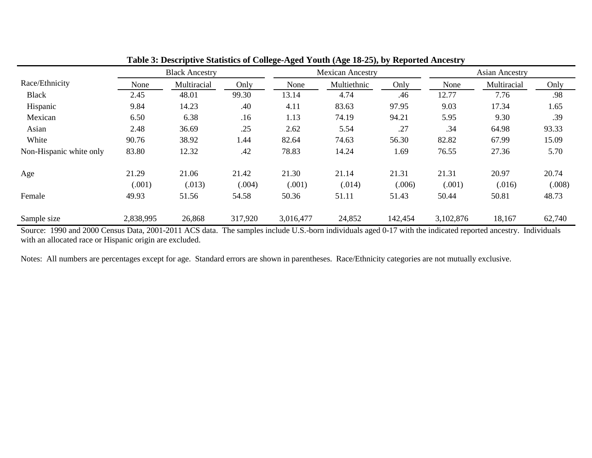|                         |                 | <b>Black Ancestry</b> |                 | <b>Mexican Ancestry</b> |                 |                 | <b>Asian Ancestry</b> |                 |                 |
|-------------------------|-----------------|-----------------------|-----------------|-------------------------|-----------------|-----------------|-----------------------|-----------------|-----------------|
| Race/Ethnicity          | None            | Multiracial           | Only            | None                    | Multiethnic     | Only            | None                  | Multiracial     | Only            |
| <b>Black</b>            | 2.45            | 48.01                 | 99.30           | 13.14                   | 4.74            | .46             | 12.77                 | 7.76            | .98             |
| Hispanic                | 9.84            | 14.23                 | .40             | 4.11                    | 83.63           | 97.95           | 9.03                  | 17.34           | 1.65            |
| Mexican                 | 6.50            | 6.38                  | .16             | 1.13                    | 74.19           | 94.21           | 5.95                  | 9.30            | .39             |
| Asian                   | 2.48            | 36.69                 | .25             | 2.62                    | 5.54            | .27             | .34                   | 64.98           | 93.33           |
| White                   | 90.76           | 38.92                 | 1.44            | 82.64                   | 74.63           | 56.30           | 82.82                 | 67.99           | 15.09           |
| Non-Hispanic white only | 83.80           | 12.32                 | .42             | 78.83                   | 14.24           | 1.69            | 76.55                 | 27.36           | 5.70            |
| Age                     | 21.29<br>(.001) | 21.06<br>(.013)       | 21.42<br>(.004) | 21.30<br>(.001)         | 21.14<br>(.014) | 21.31<br>(.006) | 21.31<br>(.001)       | 20.97<br>(.016) | 20.74<br>(.008) |
| Female                  | 49.93           | 51.56                 | 54.58           | 50.36                   | 51.11           | 51.43           | 50.44                 | 50.81           | 48.73           |
| Sample size             | 2,838,995       | 26,868                | 317,920         | 3,016,477               | 24,852          | 142,454         | 3,102,876             | 18,167          | 62,740          |

**Table 3: Descriptive Statistics of College-Aged Youth (Age 18-25), by Reported Ancestry**

Source: 1990 and 2000 Census Data, 2001-2011 ACS data. The samples include U.S.-born individuals aged 0-17 with the indicated reported ancestry. Individuals with an allocated race or Hispanic origin are excluded.

Notes: All numbers are percentages except for age. Standard errors are shown in parentheses. Race/Ethnicity categories are not mutually exclusive.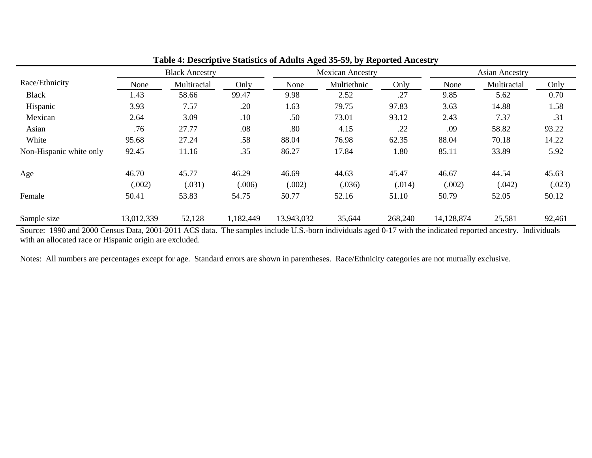|                         |                 | <b>Black Ancestry</b> |                 |                 | <b>Mexican Ancestry</b> |                 |                 | <b>Asian Ancestry</b> |                 |
|-------------------------|-----------------|-----------------------|-----------------|-----------------|-------------------------|-----------------|-----------------|-----------------------|-----------------|
| Race/Ethnicity          | None            | Multiracial           | Only            | None            | Multiethnic             | Only            | None            | Multiracial           | Only            |
| <b>Black</b>            | 1.43            | 58.66                 | 99.47           | 9.98            | 2.52                    | .27             | 9.85            | 5.62                  | 0.70            |
| Hispanic                | 3.93            | 7.57                  | .20             | 1.63            | 79.75                   | 97.83           | 3.63            | 14.88                 | 1.58            |
| Mexican                 | 2.64            | 3.09                  | .10             | .50             | 73.01                   | 93.12           | 2.43            | 7.37                  | .31             |
| Asian                   | .76             | 27.77                 | .08             | .80             | 4.15                    | .22             | .09             | 58.82                 | 93.22           |
| White                   | 95.68           | 27.24                 | .58             | 88.04           | 76.98                   | 62.35           | 88.04           | 70.18                 | 14.22           |
| Non-Hispanic white only | 92.45           | 11.16                 | .35             | 86.27           | 17.84                   | 1.80            | 85.11           | 33.89                 | 5.92            |
| Age                     | 46.70<br>(.002) | 45.77<br>(.031)       | 46.29<br>(.006) | 46.69<br>(.002) | 44.63<br>(.036)         | 45.47<br>(.014) | 46.67<br>(.002) | 44.54<br>(.042)       | 45.63<br>(.023) |
| Female                  | 50.41           | 53.83                 | 54.75           | 50.77           | 52.16                   | 51.10           | 50.79           | 52.05                 | 50.12           |
| Sample size             | 13,012,339      | 52,128                | 1,182,449       | 13,943,032      | 35,644                  | 268,240         | 14,128,874      | 25,581                | 92,461          |

# **Table 4: Descriptive Statistics of Adults Aged 35-59, by Reported Ancestry**

Source: 1990 and 2000 Census Data, 2001-2011 ACS data. The samples include U.S.-born individuals aged 0-17 with the indicated reported ancestry. Individuals with an allocated race or Hispanic origin are excluded.

Notes: All numbers are percentages except for age. Standard errors are shown in parentheses. Race/Ethnicity categories are not mutually exclusive.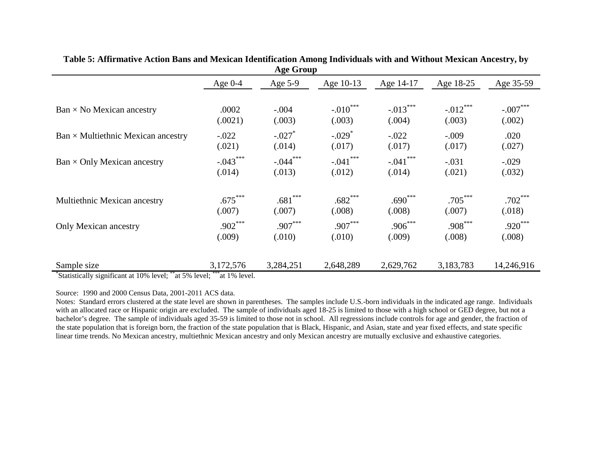| 1.8                                       |            |            |                      |             |            |            |  |  |
|-------------------------------------------|------------|------------|----------------------|-------------|------------|------------|--|--|
|                                           | Age $0-4$  | Age 5-9    | Age 10-13            | Age 14-17   | Age 18-25  | Age 35-59  |  |  |
| $Ban \times No$ Mexican ancestry          | .0002      | $-.004$    | $-.010$ ***          | $-.013***$  | $-.012***$ | $-.007***$ |  |  |
|                                           | (.0021)    | (.003)     | (.003)               | (.004)      | (.003)     | (.002)     |  |  |
| $Ban \times Multiethnic$ Mexican ancestry | $-.022$    | $-.027$    | $-.029$ <sup>*</sup> | $-.022$     | $-.009$    | .020       |  |  |
|                                           | (.021)     | (.014)     | (.017)               | (.017)      | (.017)     | (.027)     |  |  |
| $Ban \times Only Mexican ancestry$        | $-.043***$ | $-.044***$ | $-.041$ ***          | $-.041$ *** | $-.031$    | $-.029$    |  |  |
|                                           | (.014)     | (.013)     | (.012)               | (.014)      | (.021)     | (.032)     |  |  |
| Multiethnic Mexican ancestry              | $.675***$  | $.681***$  | $.682***$            | $.690***$   | $.705***$  | $.702***$  |  |  |
|                                           | (.007)     | (.007)     | (.008)               | (.008)      | (.007)     | (.018)     |  |  |
| Only Mexican ancestry                     | $.902***$  | $.907***$  | $.907***$            | $.906***$   | $.908***$  | $.920***$  |  |  |
|                                           | (.009)     | (.010)     | (.010)               | (.009)      | (.008)     | (.008)     |  |  |
| Sample size                               | 3,172,576  | 3,284,251  | 2,648,289            | 2,629,762   | 3,183,783  | 14,246,916 |  |  |

#### **Table 5: Affirmative Action Bans and Mexican Identification Among Individuals with and Without Mexican Ancestry, by Age Group**

\* Statistically significant at 10% level; \*\*at 5% level; \*\*\*at 1% level.

Source: 1990 and 2000 Census Data, 2001-2011 ACS data.

Notes: Standard errors clustered at the state level are shown in parentheses. The samples include U.S.-born individuals in the indicated age range. Individuals with an allocated race or Hispanic origin are excluded. The sample of individuals aged 18-25 is limited to those with a high school or GED degree, but not a bachelor's degree. The sample of individuals aged 35-59 is limited to those not in school. All regressions include controls for age and gender, the fraction of the state population that is foreign born, the fraction of the state population that is Black, Hispanic, and Asian, state and year fixed effects, and state specific linear time trends. No Mexican ancestry, multiethnic Mexican ancestry and only Mexican ancestry are mutually exclusive and exhaustive categories.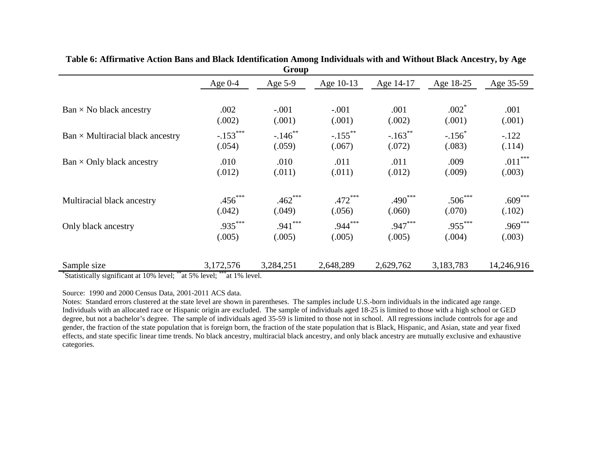|                                         |            | <b>UIUUP</b>          |                       |                       |           |            |
|-----------------------------------------|------------|-----------------------|-----------------------|-----------------------|-----------|------------|
|                                         | Age $0-4$  | Age $5-9$             | Age 10-13             | Age 14-17             | Age 18-25 | Age 35-59  |
| $Ban \times No$ black ancestry          | .002       | $-.001$               | $-.001$               | .001                  | $.002*$   | .001       |
|                                         | (.002)     | (.001)                | (.001)                | (.002)                | (.001)    | (.001)     |
| $Ban \times Multiracial black ancestry$ | $-.153***$ | $-.146$ <sup>**</sup> | $-.155$ <sup>**</sup> | $-.163$ <sup>**</sup> | $-.156^*$ | $-.122$    |
|                                         | (.054)     | (.059)                | (.067)                | (.072)                | (.083)    | (.114)     |
| $Ban \times Only black ancestry$        | .010       | .010                  | .011                  | .011                  | .009      | $.011***$  |
|                                         | (.012)     | (.011)                | (.011)                | (.012)                | (.009)    | (.003)     |
| Multiracial black ancestry              | $.456***$  | $.462***$             | $.472***$             | $.490***$             | $.506***$ | $.609***$  |
|                                         | (.042)     | (.049)                | (.056)                | (.060)                | (.070)    | (.102)     |
| Only black ancestry                     | $.935***$  | $.941***$             | $.944***$             | $.947***$             | $.955***$ | $.969***$  |
|                                         | (.005)     | (.005)                | (.005)                | (.005)                | (.004)    | (.003)     |
| Sample size                             | 3,172,576  | 3,284,251             | 2,648,289             | 2,629,762             | 3,183,783 | 14,246,916 |

**Table 6: Affirmative Action Bans and Black Identification Among Individuals with and Without Black Ancestry, by Age Group**

\* Statistically significant at 10% level; \*\*at 5% level; \*\*\*at 1% level.

Source: 1990 and 2000 Census Data, 2001-2011 ACS data.

Notes: Standard errors clustered at the state level are shown in parentheses. The samples include U.S.-born individuals in the indicated age range. Individuals with an allocated race or Hispanic origin are excluded. The sample of individuals aged 18-25 is limited to those with a high school or GED degree, but not a bachelor's degree. The sample of individuals aged 35-59 is limited to those not in school. All regressions include controls for age and gender, the fraction of the state population that is foreign born, the fraction of the state population that is Black, Hispanic, and Asian, state and year fixed effects, and state specific linear time trends. No black ancestry, multiracial black ancestry, and only black ancestry are mutually exclusive and exhaustive categories.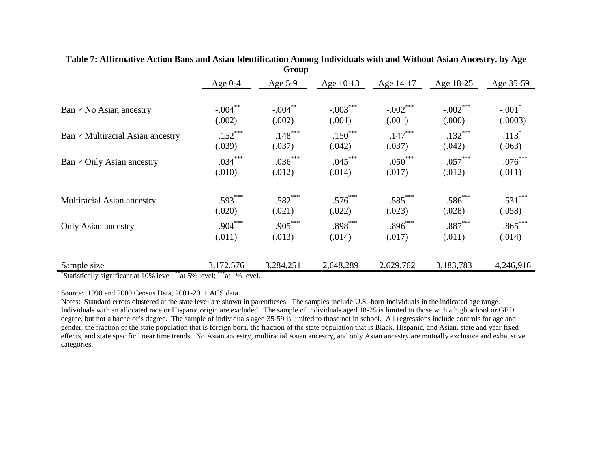| <b>UI UUP</b>                           |            |            |            |            |            |                      |  |  |
|-----------------------------------------|------------|------------|------------|------------|------------|----------------------|--|--|
|                                         | Age $0-4$  | Age $5-9$  | Age 10-13  | Age 14-17  | Age 18-25  | Age 35-59            |  |  |
| $Ban \times No$ Asian ancestry          | $-.004$ ** | $-.004***$ | $-.003***$ | $-.002***$ | $-.002***$ | $-.001$ <sup>*</sup> |  |  |
|                                         | (.002)     | (.002)     | (.001)     | (.001)     | (.000)     | (.0003)              |  |  |
| $Ban \times Multiracial Asian ancestry$ | $.152***$  | $.148***$  | $.150***$  | $.147***$  | $.132***$  | $.113*$              |  |  |
|                                         | (.039)     | (.037)     | (.042)     | (.037)     | (.042)     | (.063)               |  |  |
| Ban $\times$ Only Asian ancestry        | $.034***$  | $.036***$  | $.045***$  | $.050***$  | $.057***$  | $.076***$            |  |  |
|                                         | (.010)     | (.012)     | (.014)     | (.017)     | (.012)     | (.011)               |  |  |
| <b>Multiracial Asian ancestry</b>       | $.593***$  | $.582***$  | $.576***$  | $.585***$  | $.586***$  | $.531***$            |  |  |
|                                         | (.020)     | (.021)     | (.022)     | (.023)     | (.028)     | (.058)               |  |  |
| Only Asian ancestry                     | $.904***$  | $.905***$  | $.898***$  | $.896***$  | $.887***$  | $.865***$            |  |  |
|                                         | (.011)     | (.013)     | (.014)     | (.017)     | (.011)     | (.014)               |  |  |
| Sample size                             | 3,172,576  | 3,284,251  | 2,648,289  | 2,629,762  | 3,183,783  | 14,246,916           |  |  |

**Table 7: Affirmative Action Bans and Asian Identification Among Individuals with and Without Asian Ancestry, by Age Group**

\* Statistically significant at 10% level; \*\*at 5% level; \*\*\*at 1% level.

Source: 1990 and 2000 Census Data, 2001-2011 ACS data.

Notes: Standard errors clustered at the state level are shown in parentheses. The samples include U.S.-born individuals in the indicated age range. Individuals with an allocated race or Hispanic origin are excluded. The sample of individuals aged 18-25 is limited to those with a high school or GED degree, but not a bachelor's degree. The sample of individuals aged 35-59 is limited to those not in school. All regressions include controls for age and gender, the fraction of the state population that is foreign born, the fraction of the state population that is Black, Hispanic, and Asian, state and year fixed effects, and state specific linear time trends. No Asian ancestry, multiracial Asian ancestry, and only Asian ancestry are mutually exclusive and exhaustive categories.